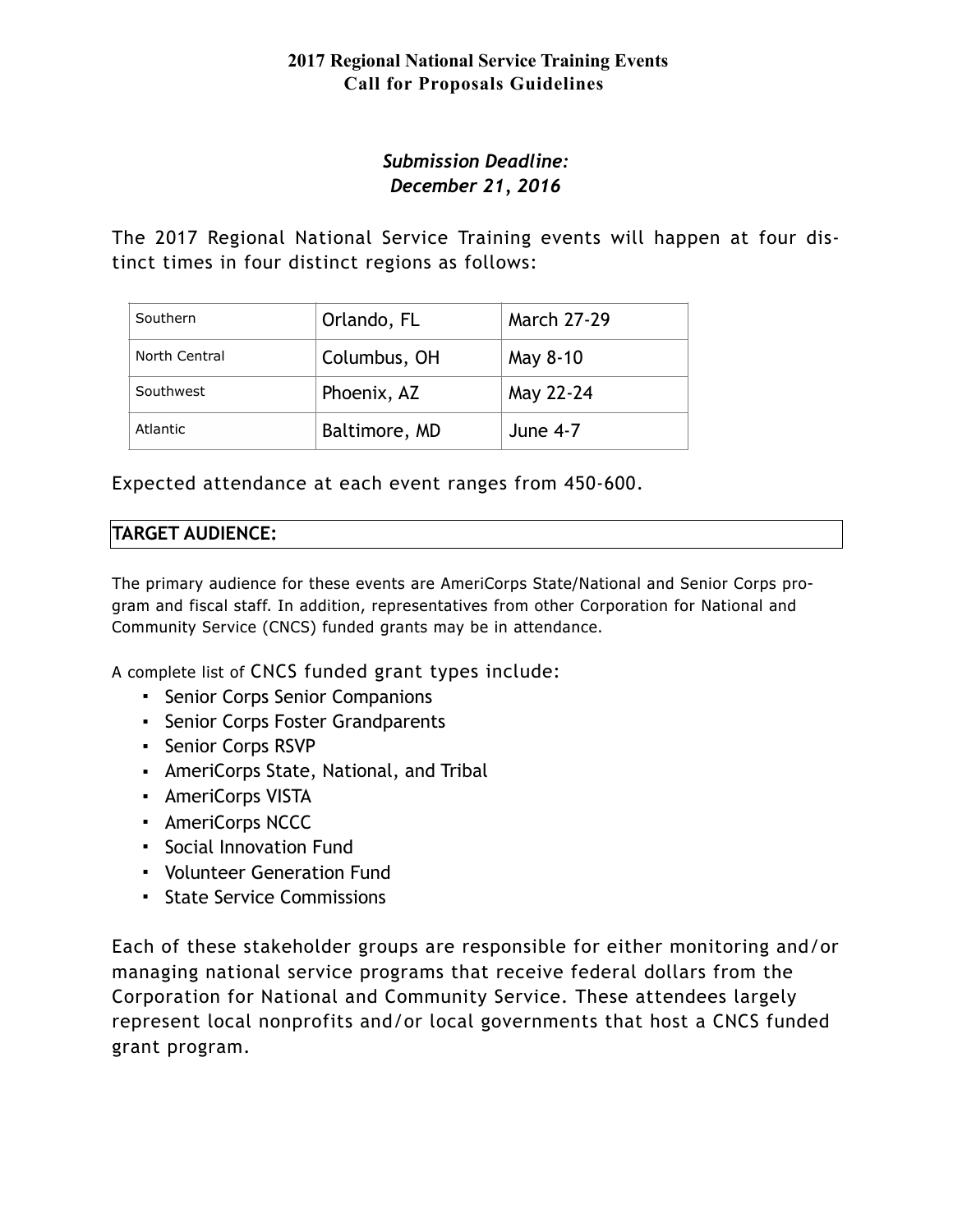# *Submission Deadline: December 21, 2016*

The 2017 Regional National Service Training events will happen at four distinct times in four distinct regions as follows:

| Southern      | Orlando, FL   | <b>March 27-29</b> |
|---------------|---------------|--------------------|
| North Central | Columbus, OH  | May 8-10           |
| Southwest     | Phoenix, AZ   | May 22-24          |
| Atlantic      | Baltimore, MD | <b>June 4-7</b>    |

Expected attendance at each event ranges from 450-600.

# **TARGET AUDIENCE:**

The primary audience for these events are AmeriCorps State/National and Senior Corps program and fiscal staff. In addition, representatives from other Corporation for National and Community Service (CNCS) funded grants may be in attendance.

A complete list of CNCS funded grant types include:

- **Senior Corps Senior Companions**
- Senior Corps Foster Grandparents
- Senior Corps RSVP
- AmeriCorps State, National, and Tribal
- AmeriCorps VISTA
- AmeriCorps NCCC
- Social Innovation Fund
- Volunteer Generation Fund
- State Service Commissions

Each of these stakeholder groups are responsible for either monitoring and/or managing national service programs that receive federal dollars from the Corporation for National and Community Service. These attendees largely represent local nonprofits and/or local governments that host a CNCS funded grant program.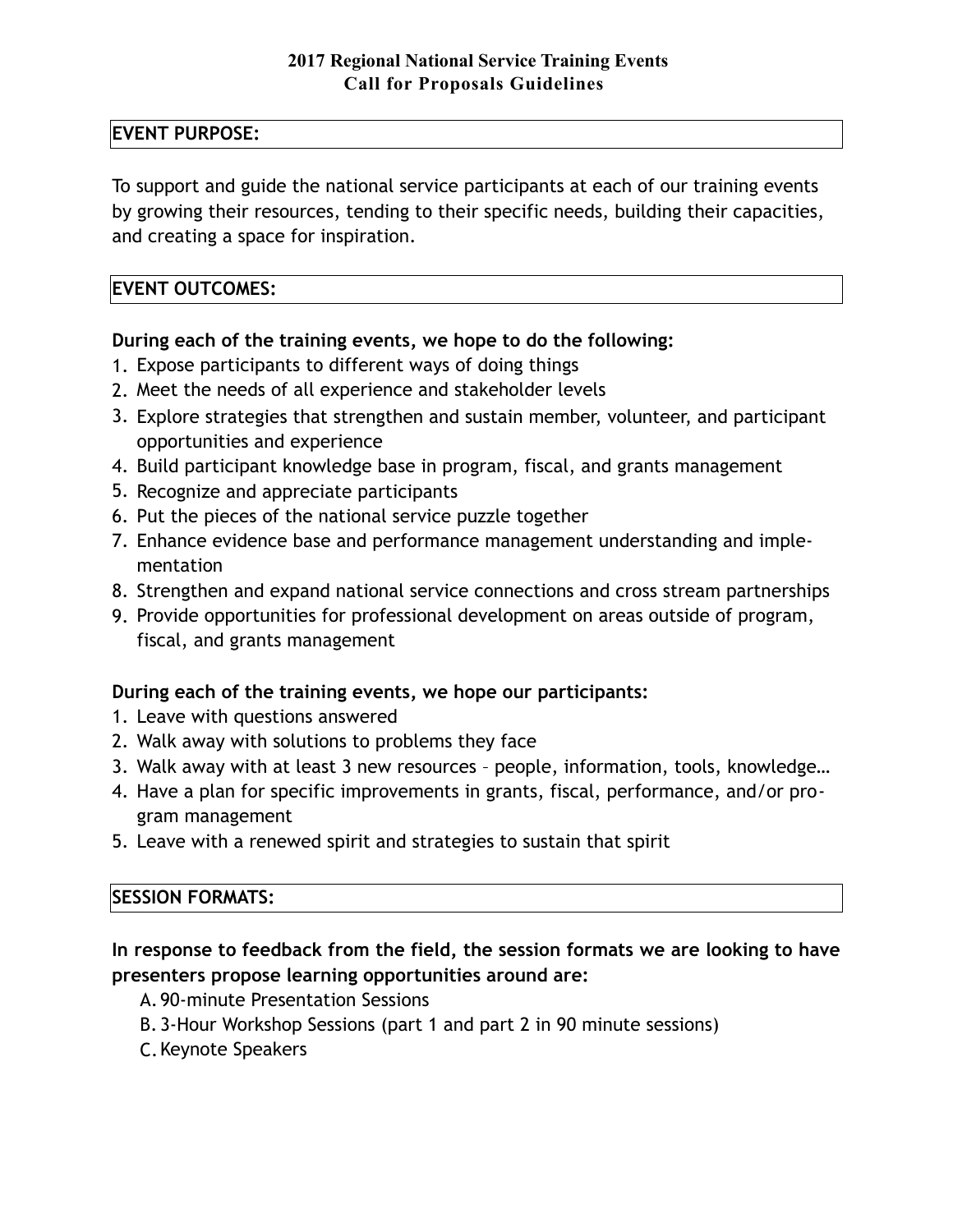## **EVENT PURPOSE:**

To support and guide the national service participants at each of our training events by growing their resources, tending to their specific needs, building their capacities, and creating a space for inspiration.

## **EVENT OUTCOMES:**

## **During each of the training events, we hope to do the following:**

- 1. Expose participants to different ways of doing things
- 2. Meet the needs of all experience and stakeholder levels
- 3. Explore strategies that strengthen and sustain member, volunteer, and participant opportunities and experience
- 4. Build participant knowledge base in program, fiscal, and grants management
- 5. Recognize and appreciate participants
- 6. Put the pieces of the national service puzzle together
- 7. Enhance evidence base and performance management understanding and implementation
- 8. Strengthen and expand national service connections and cross stream partnerships
- 9. Provide opportunities for professional development on areas outside of program, fiscal, and grants management

## **During each of the training events, we hope our participants:**

- 1. Leave with questions answered
- 2. Walk away with solutions to problems they face
- 3. Walk away with at least 3 new resources people, information, tools, knowledge…
- 4. Have a plan for specific improvements in grants, fiscal, performance, and/or program management
- 5. Leave with a renewed spirit and strategies to sustain that spirit

# **SESSION FORMATS:**

**In response to feedback from the field, the session formats we are looking to have presenters propose learning opportunities around are:**

- A.90-minute Presentation Sessions
- B. 3-Hour Workshop Sessions (part 1 and part 2 in 90 minute sessions)
- C.Keynote Speakers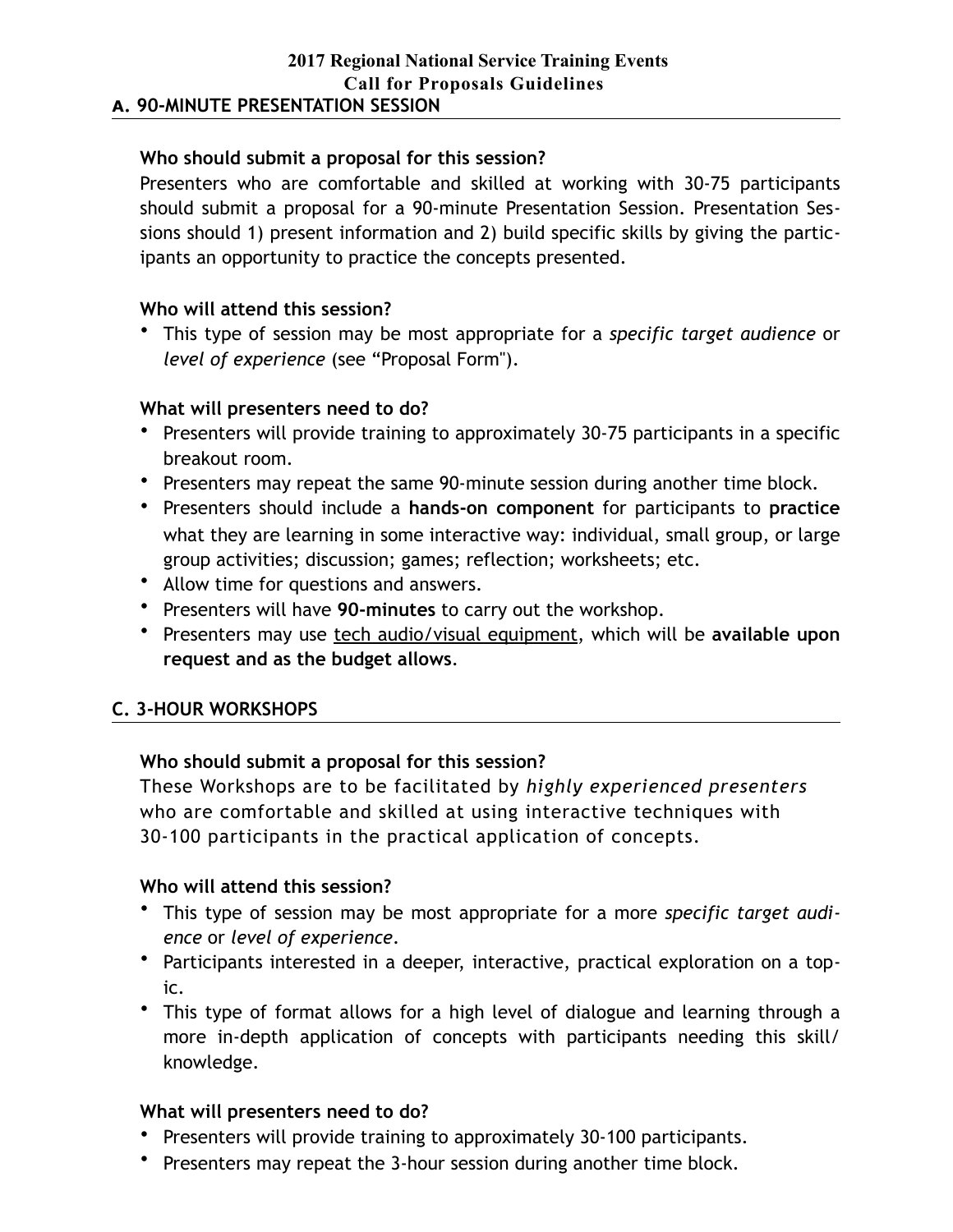### **Who should submit a proposal for this session?**

Presenters who are comfortable and skilled at working with 30-75 participants should submit a proposal for a 90-minute Presentation Session. Presentation Sessions should 1) present information and 2) build specific skills by giving the participants an opportunity to practice the concepts presented.

### **Who will attend this session?**

• This type of session may be most appropriate for a *specific target audience* or *level of experience* (see "Proposal Form").

## **What will presenters need to do?**

- Presenters will provide training to approximately 30-75 participants in a specific breakout room.
- Presenters may repeat the same 90-minute session during another time block.
- Presenters should include a **hands-on component** for participants to **practice** what they are learning in some interactive way: individual, small group, or large group activities; discussion; games; reflection; worksheets; etc.
- Allow time for questions and answers.
- Presenters will have **90-minutes** to carry out the workshop.
- Presenters may use tech audio/visual equipment, which will be **available upon request and as the budget allows**.

## **C. 3-HOUR WORKSHOPS**

## **Who should submit a proposal for this session?**

These Workshops are to be facilitated by *highly experienced presenters* who are comfortable and skilled at using interactive techniques with 30-100 participants in the practical application of concepts.

#### **Who will attend this session?**

- This type of session may be most appropriate for a more *specific target audience* or *level of experience*.
- Participants interested in a deeper, interactive, practical exploration on a topic.
- This type of format allows for a high level of dialogue and learning through a more in-depth application of concepts with participants needing this skill/ knowledge.

#### **What will presenters need to do?**

- Presenters will provide training to approximately 30-100 participants.
- Presenters may repeat the 3-hour session during another time block.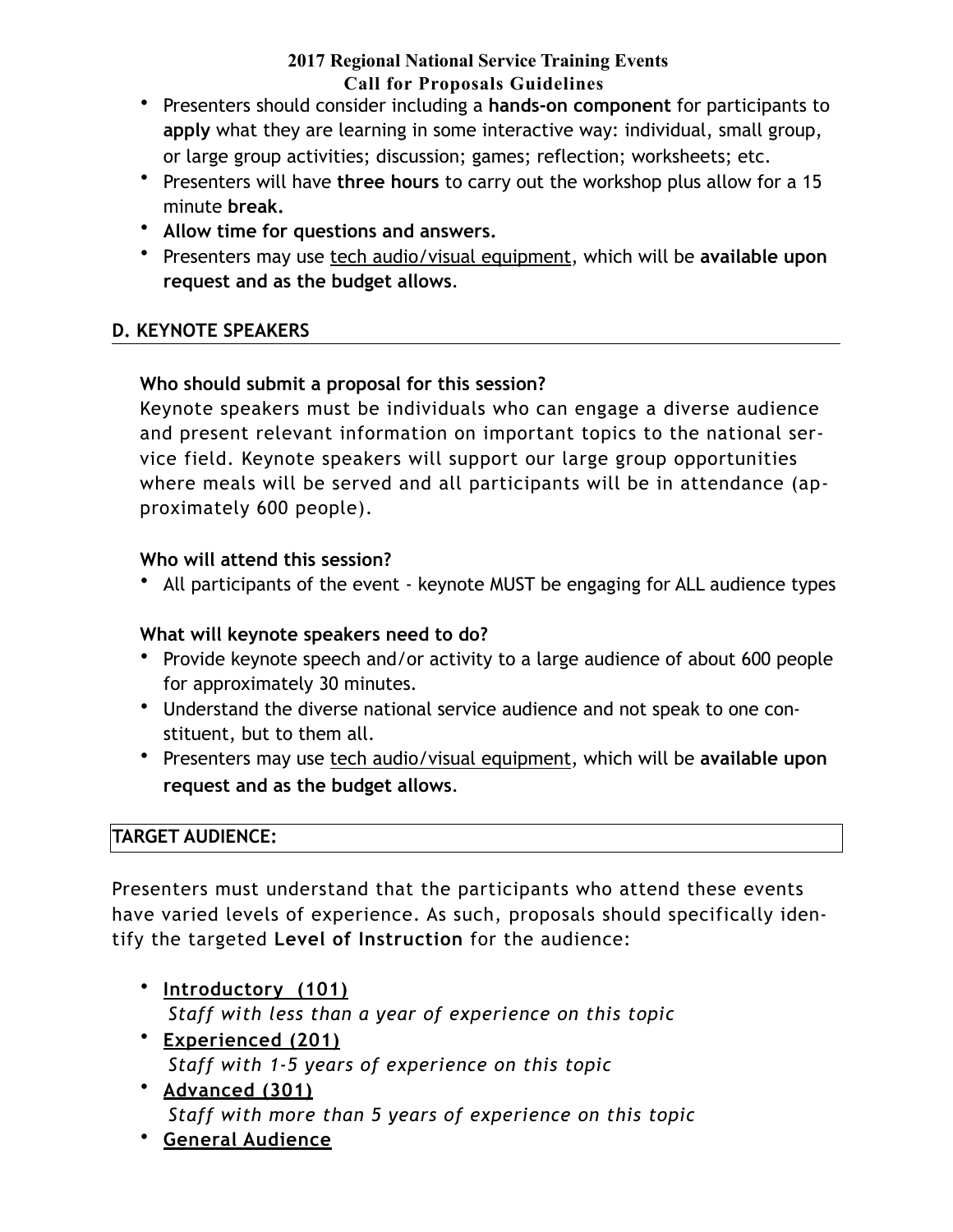- Presenters should consider including a **hands-on component** for participants to **apply** what they are learning in some interactive way: individual, small group, or large group activities; discussion; games; reflection; worksheets; etc.
- Presenters will have **three hours** to carry out the workshop plus allow for a 15 minute **break.**
- **Allow time for questions and answers.**
- Presenters may use tech audio/visual equipment, which will be **available upon request and as the budget allows**.

# **D. KEYNOTE SPEAKERS**

# **Who should submit a proposal for this session?**

Keynote speakers must be individuals who can engage a diverse audience and present relevant information on important topics to the national service field. Keynote speakers will support our large group opportunities where meals will be served and all participants will be in attendance (approximately 600 people).

# **Who will attend this session?**

• All participants of the event - keynote MUST be engaging for ALL audience types

# **What will keynote speakers need to do?**

- Provide keynote speech and/or activity to a large audience of about 600 people for approximately 30 minutes.
- Understand the diverse national service audience and not speak to one constituent, but to them all.
- Presenters may use tech audio/visual equipment, which will be **available upon request and as the budget allows**.

# **TARGET AUDIENCE:**

Presenters must understand that the participants who attend these events have varied levels of experience. As such, proposals should specifically identify the targeted **Level of Instruction** for the audience:

- **Introductory (101)**  *Staff with less than a year of experience on this topic*
- **Experienced (201)** *Staff with 1-5 years of experience on this topic*
- **Advanced (301)**  *Staff with more than 5 years of experience on this topic*
- **General Audience**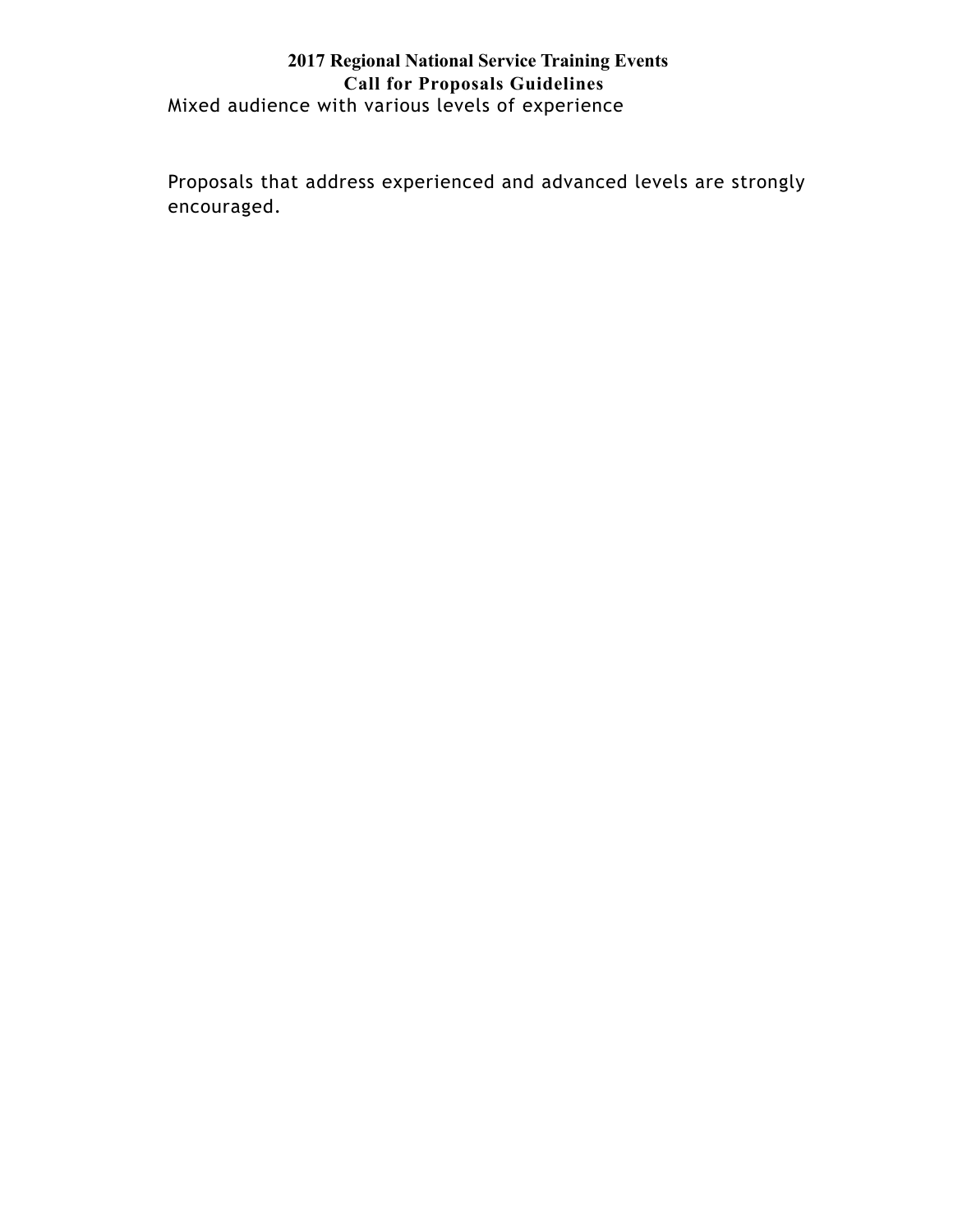### **2017 Regional National Service Training Events Call for Proposals Guidelines** Mixed audience with various levels of experience

Proposals that address experienced and advanced levels are strongly encouraged.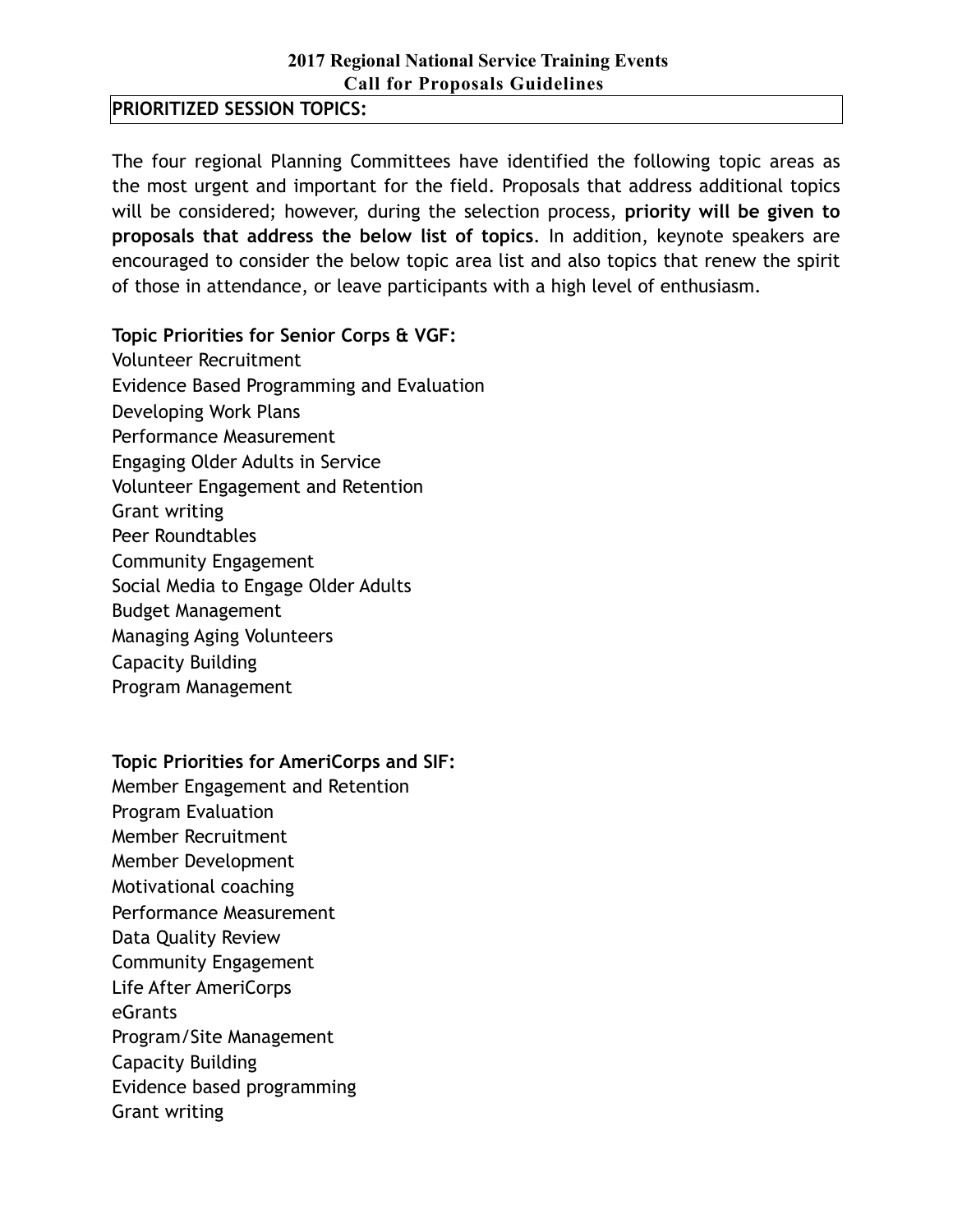**PRIORITIZED SESSION TOPICS:** 

The four regional Planning Committees have identified the following topic areas as the most urgent and important for the field. Proposals that address additional topics will be considered; however, during the selection process, **priority will be given to proposals that address the below list of topics**. In addition, keynote speakers are encouraged to consider the below topic area list and also topics that renew the spirit of those in attendance, or leave participants with a high level of enthusiasm.

### **Topic Priorities for Senior Corps & VGF:**

Volunteer Recruitment Evidence Based Programming and Evaluation Developing Work Plans Performance Measurement Engaging Older Adults in Service Volunteer Engagement and Retention Grant writing Peer Roundtables Community Engagement Social Media to Engage Older Adults Budget Management Managing Aging Volunteers Capacity Building

Program Management

**Topic Priorities for AmeriCorps and SIF:** 

Member Engagement and Retention Program Evaluation Member Recruitment Member Development Motivational coaching Performance Measurement Data Quality Review Community Engagement Life After AmeriCorps eGrants Program/Site Management Capacity Building Evidence based programming Grant writing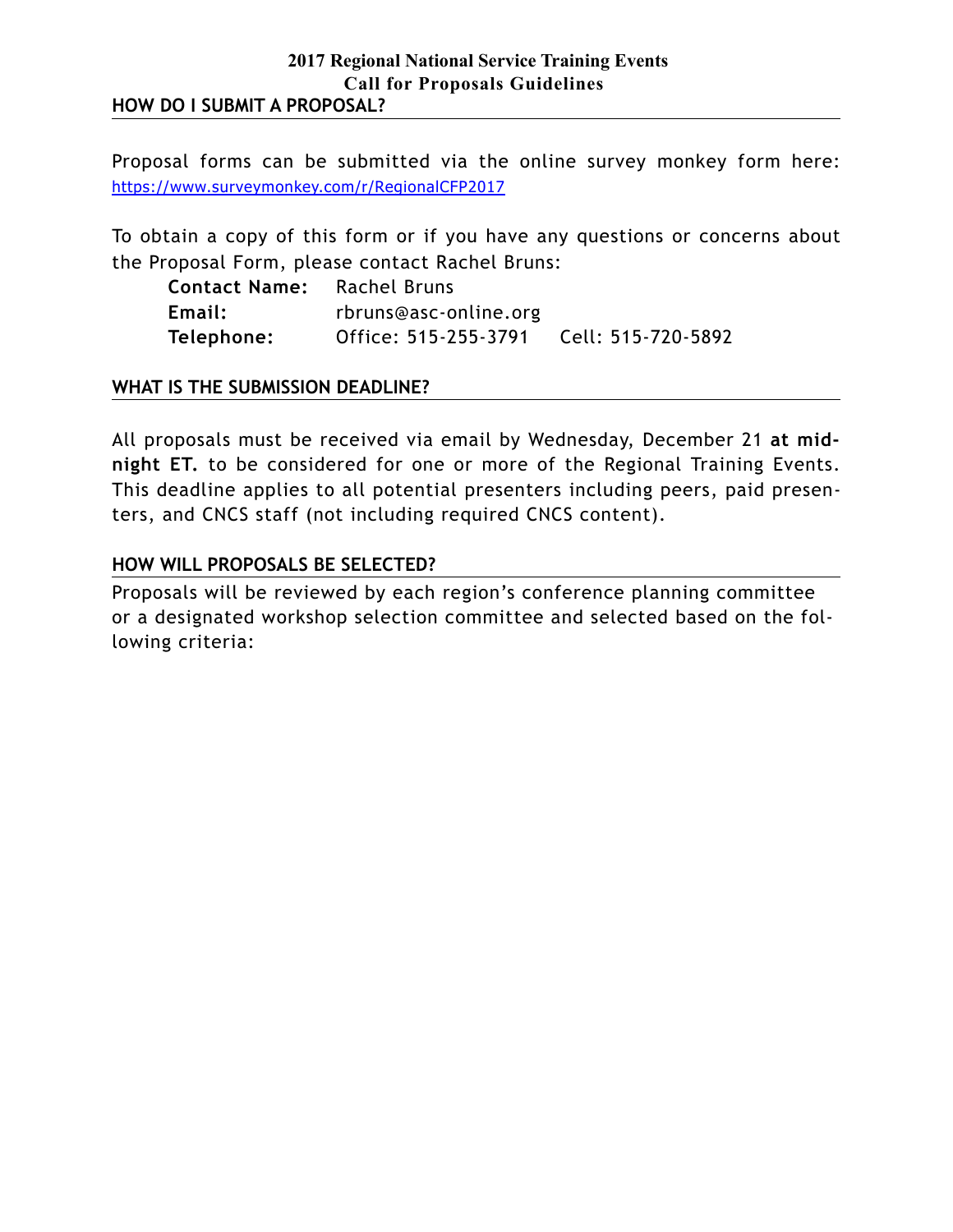Proposal forms can be submitted via the online survey monkey form here: <https://www.surveymonkey.com/r/RegionalCFP2017>

To obtain a copy of this form or if you have any questions or concerns about the Proposal Form, please contact Rachel Bruns:

| <b>Contact Name:</b> Rachel Bruns |                       |                    |
|-----------------------------------|-----------------------|--------------------|
| Email:                            | rbruns@asc-online.org |                    |
| Telephone:                        | Office: 515-255-3791  | Cell: 515-720-5892 |

#### **WHAT IS THE SUBMISSION DEADLINE?**

All proposals must be received via email by Wednesday, December 21 **at midnight ET.** to be considered for one or more of the Regional Training Events. This deadline applies to all potential presenters including peers, paid presenters, and CNCS staff (not including required CNCS content).

### **HOW WILL PROPOSALS BE SELECTED?**

Proposals will be reviewed by each region's conference planning committee or a designated workshop selection committee and selected based on the following criteria: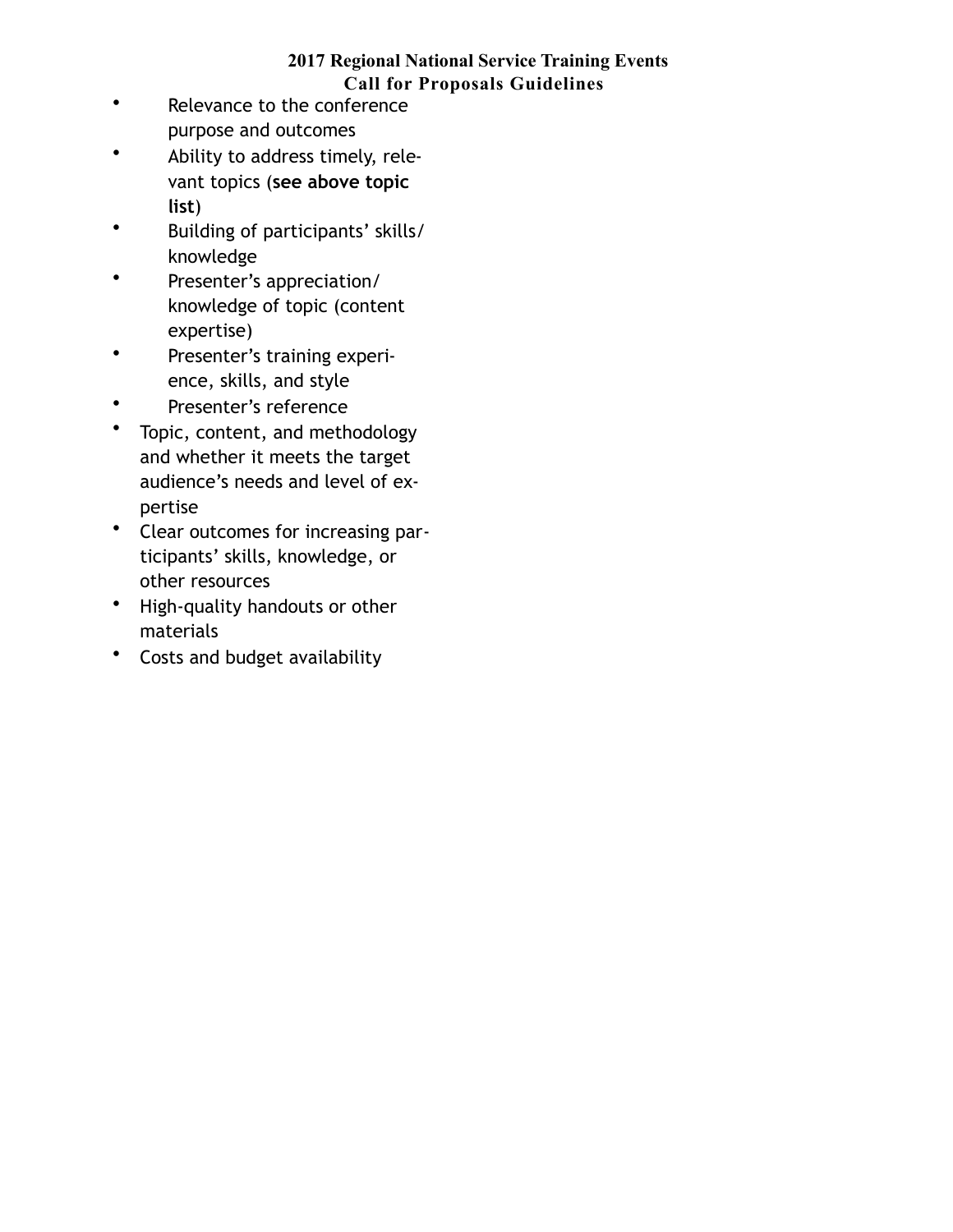- Relevance to the conference purpose and outcomes
- Ability to address timely, relevant topics (**see above topic list**)
- Building of participants' skills/ knowledge
- Presenter's appreciation/ knowledge of topic (content expertise)
- Presenter's training experience, skills, and style
- Presenter's reference
- Topic, content, and methodology and whether it meets the target audience's needs and level of expertise
- Clear outcomes for increasing participants' skills, knowledge, or other resources
- High-quality handouts or other materials
- Costs and budget availability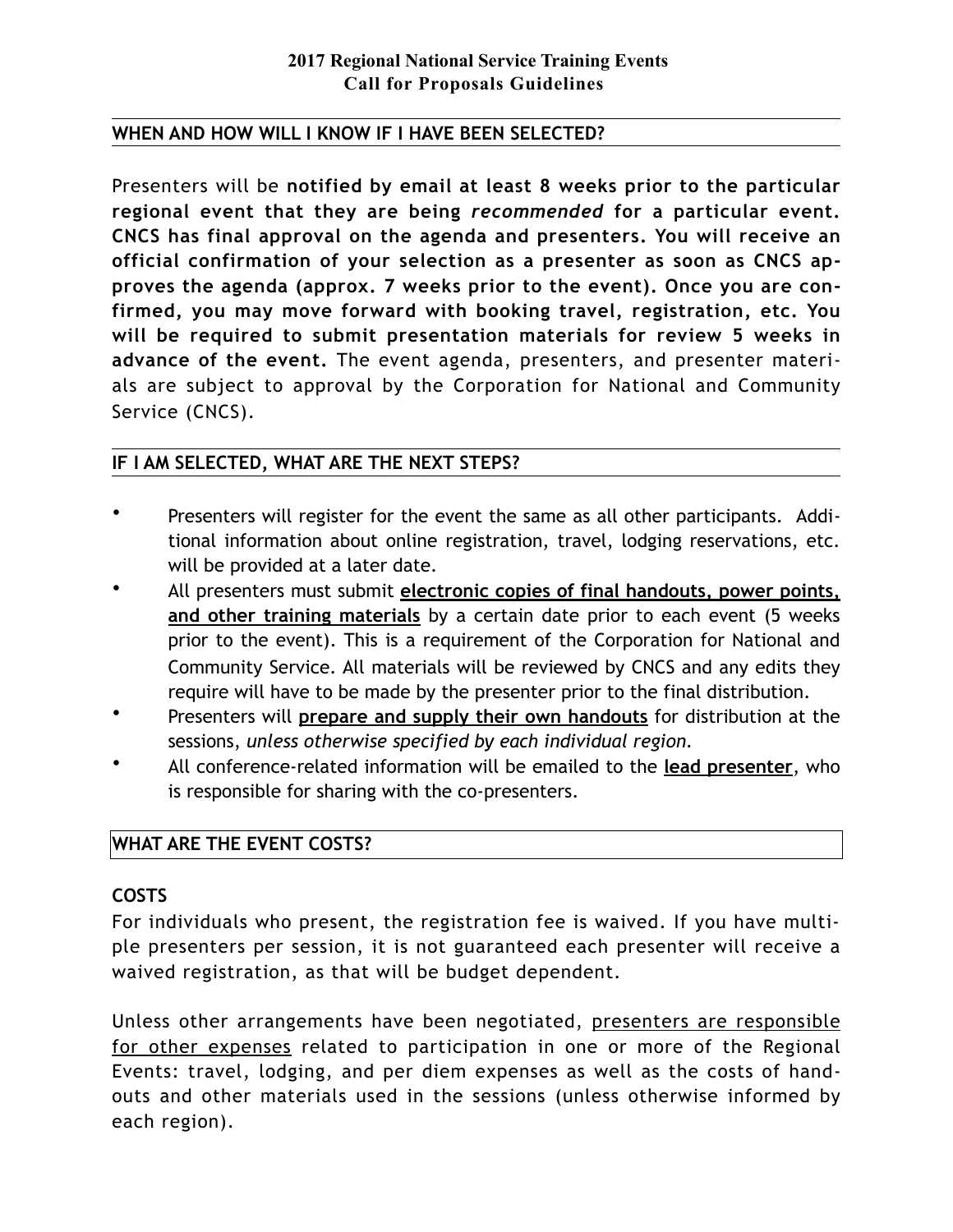### **WHEN AND HOW WILL I KNOW IF I HAVE BEEN SELECTED?**

Presenters will be **notified by email at least 8 weeks prior to the particular regional event that they are being** *recommended* **for a particular event. CNCS has final approval on the agenda and presenters. You will receive an official confirmation of your selection as a presenter as soon as CNCS approves the agenda (approx. 7 weeks prior to the event). Once you are confirmed, you may move forward with booking travel, registration, etc. You will be required to submit presentation materials for review 5 weeks in advance of the event.** The event agenda, presenters, and presenter materials are subject to approval by the Corporation for National and Community Service (CNCS).

### **IF I AM SELECTED, WHAT ARE THE NEXT STEPS?**

- Presenters will register for the event the same as all other participants. Additional information about online registration, travel, lodging reservations, etc. will be provided at a later date.
- All presenters must submit **electronic copies of final handouts, power points, and other training materials** by a certain date prior to each event (5 weeks prior to the event). This is a requirement of the Corporation for National and Community Service. All materials will be reviewed by CNCS and any edits they require will have to be made by the presenter prior to the final distribution.
- Presenters will **prepare and supply their own handouts** for distribution at the sessions, *unless otherwise specified by each individual region.*
- All conference-related information will be emailed to the **lead presenter**, who is responsible for sharing with the co-presenters.

## **WHAT ARE THE EVENT COSTS?**

#### **COSTS**

For individuals who present, the registration fee is waived. If you have multiple presenters per session, it is not guaranteed each presenter will receive a waived registration, as that will be budget dependent.

Unless other arrangements have been negotiated, presenters are responsible for other expenses related to participation in one or more of the Regional Events: travel, lodging, and per diem expenses as well as the costs of handouts and other materials used in the sessions (unless otherwise informed by each region).